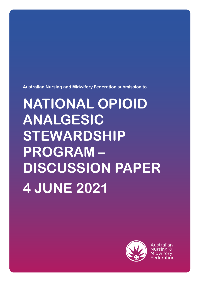**Australian Nursing and Midwifery Federation submission to**

# **NATIONAL OPIOID ANALGESIC STEWARDSHIP PROGRAM – DISCUSSION PAPER 4 JUNE 2021**



Australian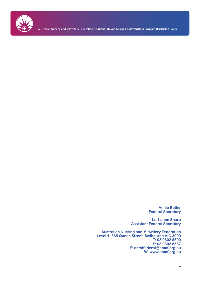

Australian Nursing and Midwifery Federation / **National Opioid Analgesic Stewardship Program Discussion Paper**

**Annie Butler Federal Secretary**

**Lori-anne Sharp Assistant Federal Secretary**

**Australian Nursing and Midwifery Federation Level 1, 365 Queen Street, Melbourne VIC 3000 T: 03 9602 8500 F: 03 9602 8567 E: anmffederal@anmf.org.au W: www.anmf.org.au**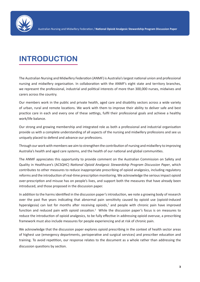

# **INTRODUCTION**

The Australian Nursing and Midwifery Federation (ANMF) is Australia's largest national union and professional nursing and midwifery organisation. In collaboration with the ANMF's eight state and territory branches, we represent the professional, industrial and political interests of more than 300,000 nurses, midwives and carers across the country.

Our members work in the public and private health, aged care and disability sectors across a wide variety of urban, rural and remote locations. We work with them to improve their ability to deliver safe and best practice care in each and every one of these settings, fulfil their professional goals and achieve a healthy work/life balance.

Our strong and growing membership and integrated role as both a professional and industrial organisation provide us with a complete understanding of all aspects of the nursing and midwifery professions and see us uniquely placed to defend and advance our professions.

Through our work with members we aim to strengthen the contribution of nursing and midwifery to improving Australia's health and aged care systems, and the health of our national and global communities.

The ANMF appreciates this opportunity to provide comment on the Australian Commission on Safety and Quality in Healthcare's (ACSQHC) *National Opioid Analgesic Stewardship Program Discussion Paper*, which contributes to other measures to reduce inappropriate prescribing of opioid analgesics, including regulatory reforms and the introduction of real-time prescription monitoring. We acknowledge the serious impact opioid over-prescription and misuse has on people's lives, and support both the measures that have already been introduced, and those proposed in the discussion paper.

In addition to the harms identified in the discussion paper's introduction, we note a growing body of research over the past five years indicating that abnormal pain sensitivity caused by opioid use (opioid-induced hyperalgesia) can last for months after receiving opioids,<sup>1</sup> and people with chronic pain have improved function and reduced pain with opioid cessation.<sup>2</sup> While the discussion paper's focus is on measures to reduce the introduction of opioid analgesics, to be fully effective in addressing opioid overuse, a prescribing framework must also include measures for people experiencing and at risk of chronic pain.

We acknowledge that the discussion paper explores opioid prescribing in the context of health sector areas of highest use (emergency departments, perioperative and surgical services) and prescriber education and training. To avoid repetition, our response relates to the document as a whole rather than addressing the discussion questions by section.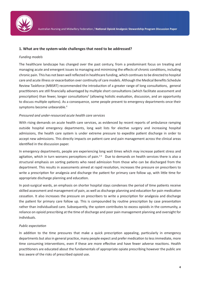

### **1. What are the system-wide challenges that need to be addressed?**

#### *Funding models*

The healthcare landscape has changed over the past century, from a predominant focus on treating and managing acute and emergent issues to managing and minimising the effects of chronic conditions, including chronic pain. This has not been well reflected in healthcare funding, which continues to be directed to hospital care and acute illness or exacerbation over continuity of care models. Although the Medical Benefits Schedule Review Taskforce (MBSRT) recommended the introduction of a greater range of long consultations, general practitioners are still financially advantaged by multiple short consultations (which facilitate assessment and prescription) than fewer, longer consultations<sup>3</sup> (allowing holistic evaluation, discussion, and an opportunity to discuss multiple options). As a consequence, some people present to emergency departments once their symptoms become unbearable.<sup>4</sup>

### *Pressured and under-resourced acute health care services*

With rising demands on acute health care services, as evidenced by recent reports of ambulance ramping outside hospital emergency departments, long wait lists for elective surgery and increasing hospital admissions, the health care system is under extreme pressure to expedite patient discharge in order to accept new admissions. This directly impacts on patient care and pain management across the clinical areas identified in the discussion paper.

In emergency departments, people are experiencing long wait times which may increase patient stress and agitation, which in turn worsens perceptions of pain.<sup>56</sup> Due to demands on health services there is also a structural emphasis on sorting patients who need admission from those who can be discharged from the department. This results in assessments aimed at rapid resolution, increases the pressure on prescribers to write a prescription for analgesia and discharge the patient for primary care follow up, with little time for appropriate discharge planning and education.

In post-surgical wards, an emphasis on shorter hospital stays condenses the period of time patients receive skilled assessment and management of pain, as well as discharge planning and education for pain medication cessation. It also increases the pressure on prescribers to write a prescription for analgesia and discharge the patient for primary care follow up. This is compounded by routine prescription by case presentation rather than individualised care. Subsequently, the system contributes to excess opioids in the community, a reliance on opioid prescribing at the time of discharge and poor pain management planning and oversight for individuals.

### *Public expectation*

In addition to the time pressures that make a quick prescription appealing, particularly in emergency departments but also in general practice, many people expect and prefer medication to less immediate, more time consuming interventions, even if these are more effective and have fewer adverse reactions. Health practitioners are educated about the fundamentals of appropriate opiate prescribing however the public are less aware of the risks of prescribed opioid use.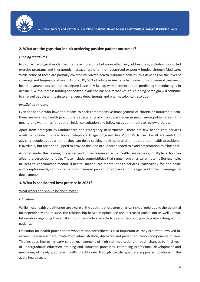

# **2. What are the gaps that inhibit achieving positive patient outcomes?**

### *Funding structures*

Non-pharmacological modalities that take more time but more effectively address pain, including supported exercise programs and therapeutic massage, are often not recognised or poorly funded through Medicare. While some of these are partially covered by private health insurance policies, this depends on the level of coverage and frequency of need. As of 2019, 53% of adults in Australia had some form of general treatment health insurance cover,<sup>7</sup> but this figure is steadily falling, with a recent report predicting the industry is in decline.<sup>8</sup> Without mass funding for holistic, evidence-based alternatives, this funding paradigm will continue to channel people with pain to emergency departments and pharmacological resolution.

# *Insufficient services*

Even for people who have the means to seek comprehensive management of chronic or intractable pain, there are very few health practitioners specialising in chronic pain, even in major metropolitan areas. This means long wait times for both an initial consultation and follow up appointments to review progress.

Apart from emergencies (ambulances and emergency departments), there are few health care services available outside business hours. Telephone triage programs like Victoria's Nurse On-call are useful for advising people about whether they can delay seeking healthcare until an appropriate health practitioner is available, but are not equipped to provide the kind of support needed to avoid presentation to a hospital.

As noted under the heading 'pressured and under-resourced acute health care services,' multiple factors can affect the perception of pain. These include comorbidities that range from physical symptoms (for example, nausea) to concomitant mental ill-health. Inadequate mental health services, particularly for non-acute and complex needs, contribute to both increased perception of pain and to longer wait times in emergency departments.

# **3. What is considered best practice in 2021?**

### What works and should be done more?

### *Education*

While most health practitioners are aware of the both the short-term physical risks of opioids and the potential for dependency and misuse, the relationship between opioid use and increased pain is not as well known. Information regarding these risks should be made available to prescribers, along with posters designed for patients.

Education for health practitioners who are non-prescribers is also important as they are often involved in, or lead, pain assessment, medication administration, discharge and patient education components of care. This includes improving early career management of high risk medications through changes to final year of undergraduate education, training and induction processes, continuing professional development and mentoring of newly graduated health practitioners through specific graduate supported positions in the acute health sector.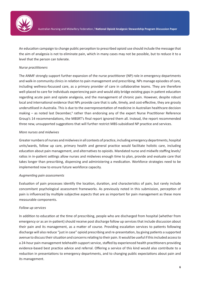

An education campaign to change public perception to prescribed opioid use should include the message that the aim of analgesia is not to eliminate pain, which in many cases may not be possible, but to reduce it to a level that the person can tolerate.

# *Nurse practitioners*

The ANMF strongly support further expansion of the nurse practitioner (NP) role in emergency departments and walk-in community clinics in relation to pain management and prescribing. NPs manage episodes of care, including wellness-focussed care, as a primary provider of care in collaborative teams. They are therefore well-placed to care for individuals experiencing pain and would ably bridge existing gaps in patient education regarding acute pain and opiate analgesia, and the management of chronic pain. However, despite robust local and international evidence that NPs provide care that is safe, timely, and cost-effective, they are grossly underutilised in Australia. This is due to the overrepresentation of medicine in Australian healthcare decision making – as noted last December,<sup>9</sup> rather than endorsing any of the expert Nurse Practitioner Reference Group's 14 recommendations, the MBSRT's final report ignored them all. Instead, the report recommended three new, unsupported suggestions that will further restrict MBS-subsidised NP practice and services.

# *More nurses and midwives*

Greater numbers of nurses and midwives in all contexts of practice, including emergency departments, hospital units/wards, follow up care, primary health and general practice would facilitate holistic care, including education about pain management, and alternatives to opioids. Mandated nurse and midwife staffing levels/ ratios in in-patient settings allow nurses and midwives enough time to plan, provide and evaluate care that takes longer than prescribing, dispensing and administering a medication. Workforce strategies need to be implemented now to ensure future workforce capacity.

### *Augmenting pain assessments*

Evaluation of pain processes identify the location, duration, and characteristics of pain, but rarely include concomitant psychological assessment frameworks. As previously noted in this submission, perception of pain is influenced by multiple subjective aspects that are as important for pain management as these more measurable components.

### *Follow up services*

In addition to education at the time of prescribing, people who are discharged from hospital (whether from emergency or as an in-patient) should receive post discharge follow up services that include discussion about their pain and its management, as a matter of course. Providing escalation services to patients following discharge will also reduce "just in case" opioid prescribing and re-presentation, by giving patients a supported avenue to discuss their situation and concerns relating to their pain. It would be useful if this included access to a 24-hour pain management telehealth support service, staffed by experienced health practitioners providing evidence-based best practice advice and referral. Offering a service of this kind would also contribute to a reduction in presentations to emergency departments, and to changing public expectations about pain and its management.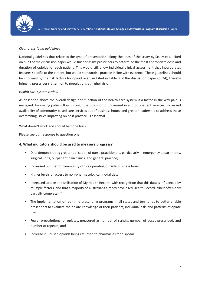

# *Clear prescribing guidelines*

National guidelines that relate to the type of presentation, along the lines of the study by Scully et al. cited on p. 23 of the discussion paper would further assist prescribers to determine the most appropriate dose and duration of opioids for each patient. This would still allow individual clinical assessment that incorporates features specific to the patient, but would standardise practice in line with evidence. These guidelines should be informed by the risk factors for opioid overuse listed in Table 3 of the discussion paper (p. 24), thereby bringing prescriber's attention to populations at higher risk.

# *Health care system review*

As described above the overall design and function of the health care system is a factor in the way pain is managed. Improving patient flow through the provision of increased in and out-patient services, increased availability of community-based care services out of business hours, and greater leadership to address these overarching issues impacting on best practice, is essential.

### What doesn't work and should be done less?

Please see our response to question one.

# **4. What indicators should be used to measure progress?**

- Data demonstrating greater utilisation of nurse practitioners, particularly in emergency departments, surgical units, outpatient pain clinics, and general practice;
- Increased number of community clinics operating outside business hours;
- Higher levels of access to non-pharmacological modalities;
- Increased uptake and utilisation of My Health Record (with recognition that this data is influenced by multiple factors, and that a majority of Australians already have a My Health Record, albeit often only partially complete);<sup>10</sup>
- The implementation of real-time prescribing programs in all states and territories to better enable prescribers to evaluate the opiate knowledge of their patients, individual risk, and patterns of opiate use;
- Fewer prescriptions for opiates, measured as number of scripts, number of doses prescribed, and number of repeats; and
- Increase in unused opioids being returned to pharmacies for disposal.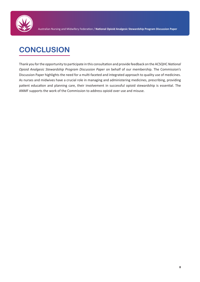

# **CONCLUSION**

Thank you for the opportunity to participate in this consultation and provide feedback on the ACSQHC *National Opioid Analgesic Stewardship Program Discussion Paper* on behalf of our membership. The Commission's Discussion Paper highlights the need for a multi-faceted and integrated approach to quality use of medicines. As nurses and midwives have a crucial role in managing and administering medicines, prescribing, providing patient education and planning care, their involvement in successful opioid stewardship is essential. The ANMF supports the work of the Commission to address opioid over use and misuse.